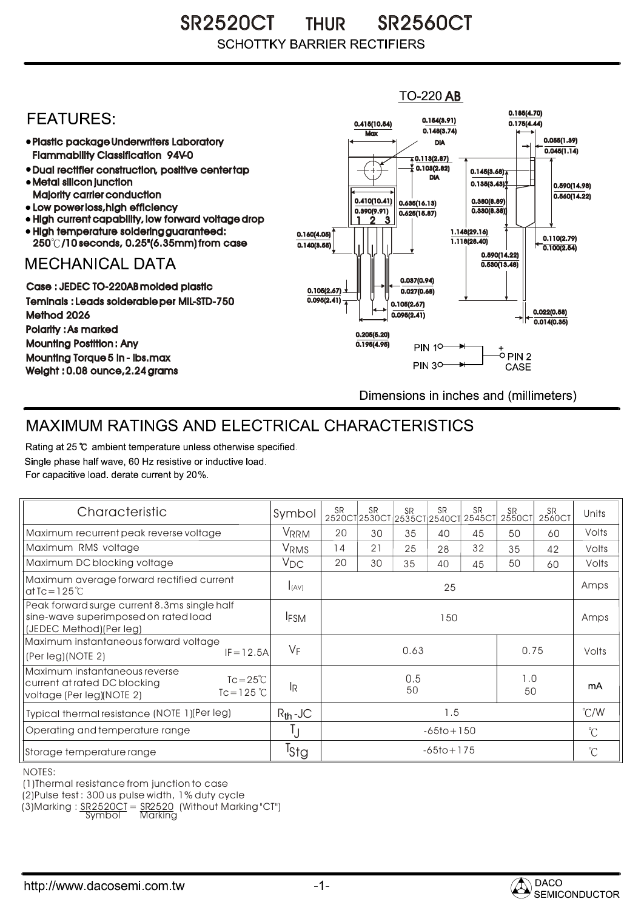SR2520CT THUR SR2560CT **SCHOTTKY BARRIER RECTIFIERS** 

## $TO-220$  AB 0.185(4.70) **FFATURFS:** 0.154(3.91) 0.415(10.54) 0.175(4.44)  $0.148(3.74)$ **Max** Plastic package Underwriters Laboratory 0.055(1.39) DIA  $0.045(1.14)$ Flammability Classification 94V-0  $\overline{4}$  0.113(2.87) 0.103(2.82) Dual rectifier construction, positive center tap 0.145(3.68) DIA Metal silicon junction  $0.135(3.43)$ 0.590(14.98) Majority carrier conduction  $0.560(14.22)$ 0.410(10.41) 0.380(8.89) 0.635(16.13) • Low power loss, high efficiency 0.330(8.38)) 0.390(9.91)  $0.625(15.87)$ High current capability, low forward voltage drop 1 3 2High temperature soldering guaranteed: 1.148(29.16) 0.160(4.05) 0.110(2.79) 250 /10 seconds, 0.25"(6.35mm) from case 1.118(28.40) 0.140(3.55)  $\overline{0.100(2.54)}$ 0.590(14.22) **MECHANICAL DATA**  $0.530(13.48)$ 0.037(0.94) Case : JEDEC TO-220AB molded plastic 0.105(2.67)  $0.027(0.68)$ Teminals : Leads solderable per MIL-STD-750  $0.095(2.41)$ 0.105(2.67) 0.022(0.58) Method 2026  $0.095(2.41)$  $0.014(0.35)$ Polarity : As marked 0.205(5.20) Mounting Postition : Any 0.195(4.95) **PIN 10-**+<br>-0 PIN 2 Mounting Torque 5 in - lbs.max **PIN 30-**CASE Weight : 0.08 ounce,2.24 grams Dimensions in inches and (millimeters)

## MAXIMUM RATINGS AND ELECTRICAL CHARACTERISTICS

Rating at 25 °C ambient temperature unless otherwise specified. Single phase half wave, 60 Hz resistive or inductive load. For capacitive load, derate current by 20%.

| Characteristic                                                                                                                    | Symbol           | <b>SR</b>              | <b>SR</b> | <b>SR</b> | <b>SR</b> | <b>SR</b><br>2520CT2530CT2535CT2540CT2545CT | <b>SR</b><br>2550CT | <b>SR</b><br>2560Cl | Units         |
|-----------------------------------------------------------------------------------------------------------------------------------|------------------|------------------------|-----------|-----------|-----------|---------------------------------------------|---------------------|---------------------|---------------|
| Maximum recurrent peak reverse voltage                                                                                            | VRRM             | 20                     | 30        | 35        | 40        | 45                                          | 50                  | 60                  | Volts         |
| Maximum RMS voltage                                                                                                               | <b>VRMS</b>      | 14                     | 21        | 25        | 28        | 32                                          | 35                  | 42                  | Volts         |
| Maximum DC blocking voltage                                                                                                       | $V_{DC}$         | 20                     | 30        | 35        | 40        | 45                                          | 50                  | 60                  | Volts         |
| Maximum average forward rectified current<br>at Tc = $125^{\circ}$ C                                                              | I(AV)            | 25                     |           |           |           |                                             |                     |                     | Amps          |
| Peak forward surge current 8.3ms single half<br>sine-wave superimposed on rated load<br>(JEDEC Method) (Per leg)                  | <b>IFSM</b>      | 150                    |           |           |           |                                             |                     |                     | Amps          |
| Maximum instantaneous forward voltage<br>$IF = 12.5A$<br>(Per leg)(NOTE 2)                                                        | $V_F$            | 0.63<br>0.75           |           |           |           |                                             |                     | Volts               |               |
| Maximum instantaneous reverse<br>$Tc = 25^{\circ}C$<br>current at rated DC blocking<br>$Tc = 125$ °C<br>voltage (Per leg)(NOTE 2) | 1R               | 0.5<br>1.0<br>50<br>50 |           |           |           |                                             |                     | mA                  |               |
| Typical thermal resistance (NOTE 1)(Per leg)                                                                                      | $R_{th}$ -JC     | 1.5                    |           |           |           |                                             |                     |                     | $\degree$ C/W |
| Operating and temperature range                                                                                                   | IJ               | $-65$ to + 150         |           |           |           |                                             |                     |                     | $^{\circ}C$   |
| Storage temperature range                                                                                                         | <sup>I</sup> Stg | $-65$ to + 175         |           |           |           |                                             |                     |                     | $^{\circ}C$   |

NOTES:

(1)Thermal resistance from junction to case

(2)Pulse test : 300 us pulse width, 1% duty cycle

(3)Marking : <u>SR2520CT</u> = <u>SR2520</u> (Without Marking "CT") R

Symbol Marking